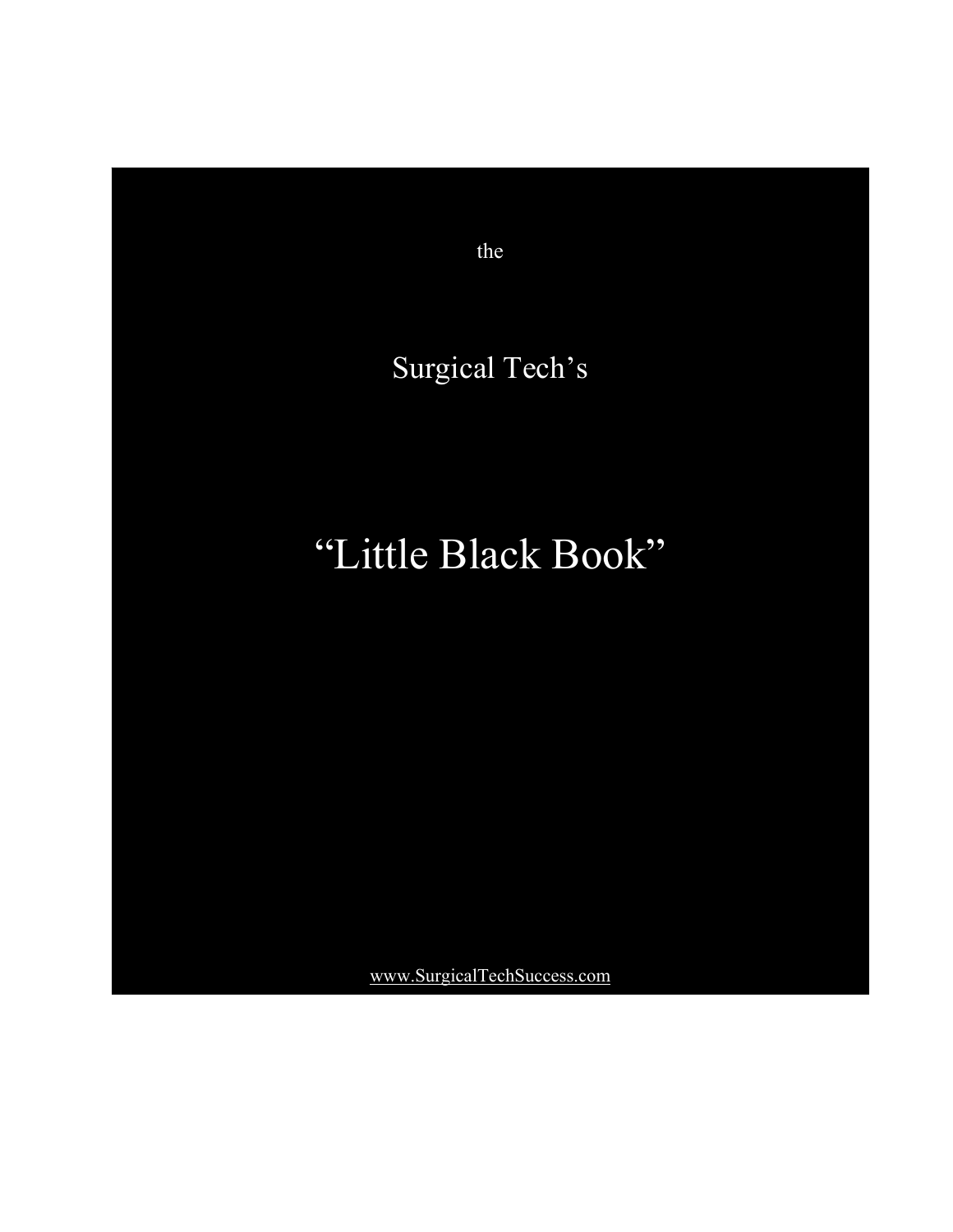

the

## Surgical Tech's

## "Little Black Book"

[www.SurgicalTechSuccess.com](http://www.surgicaltechsuccess.com/)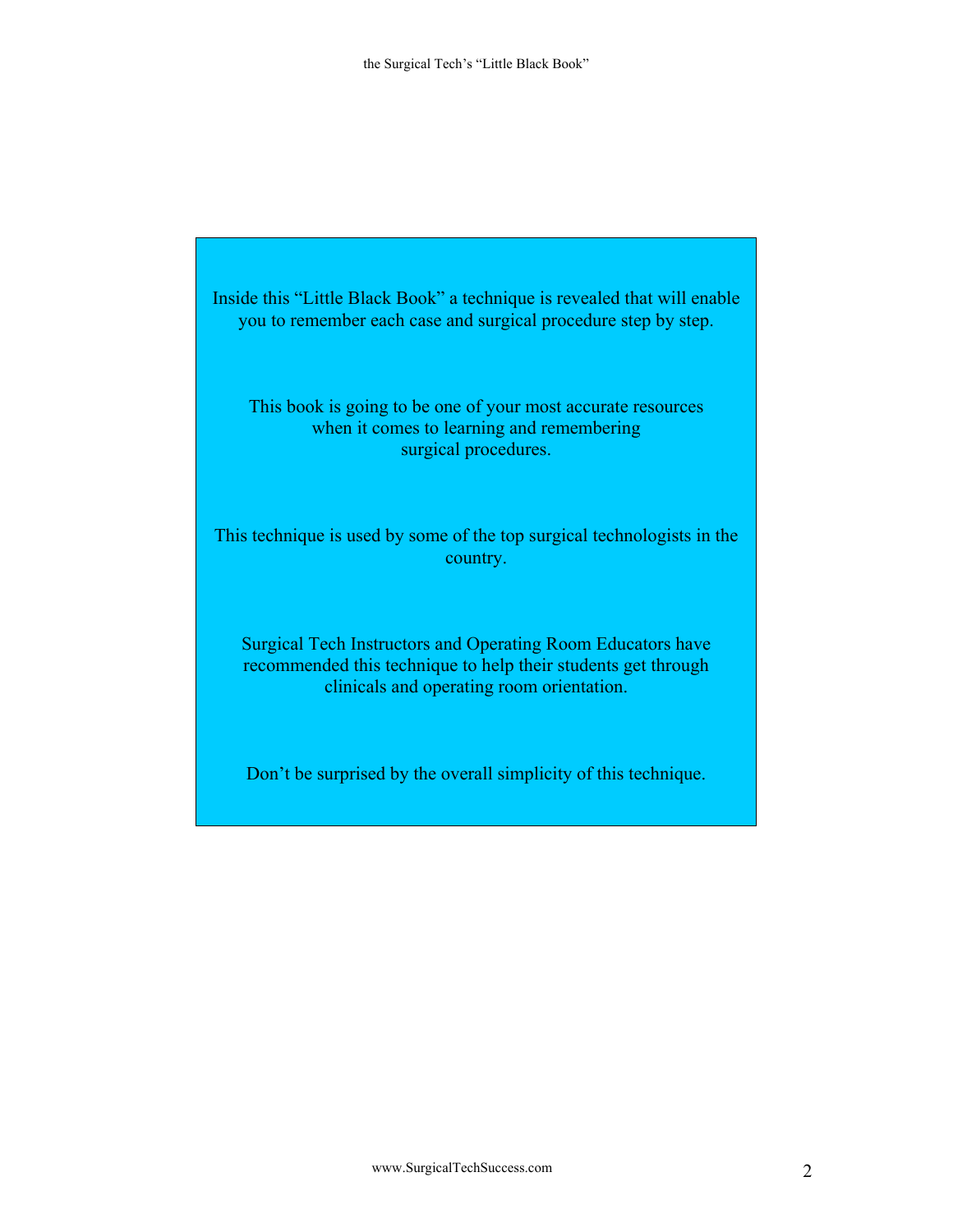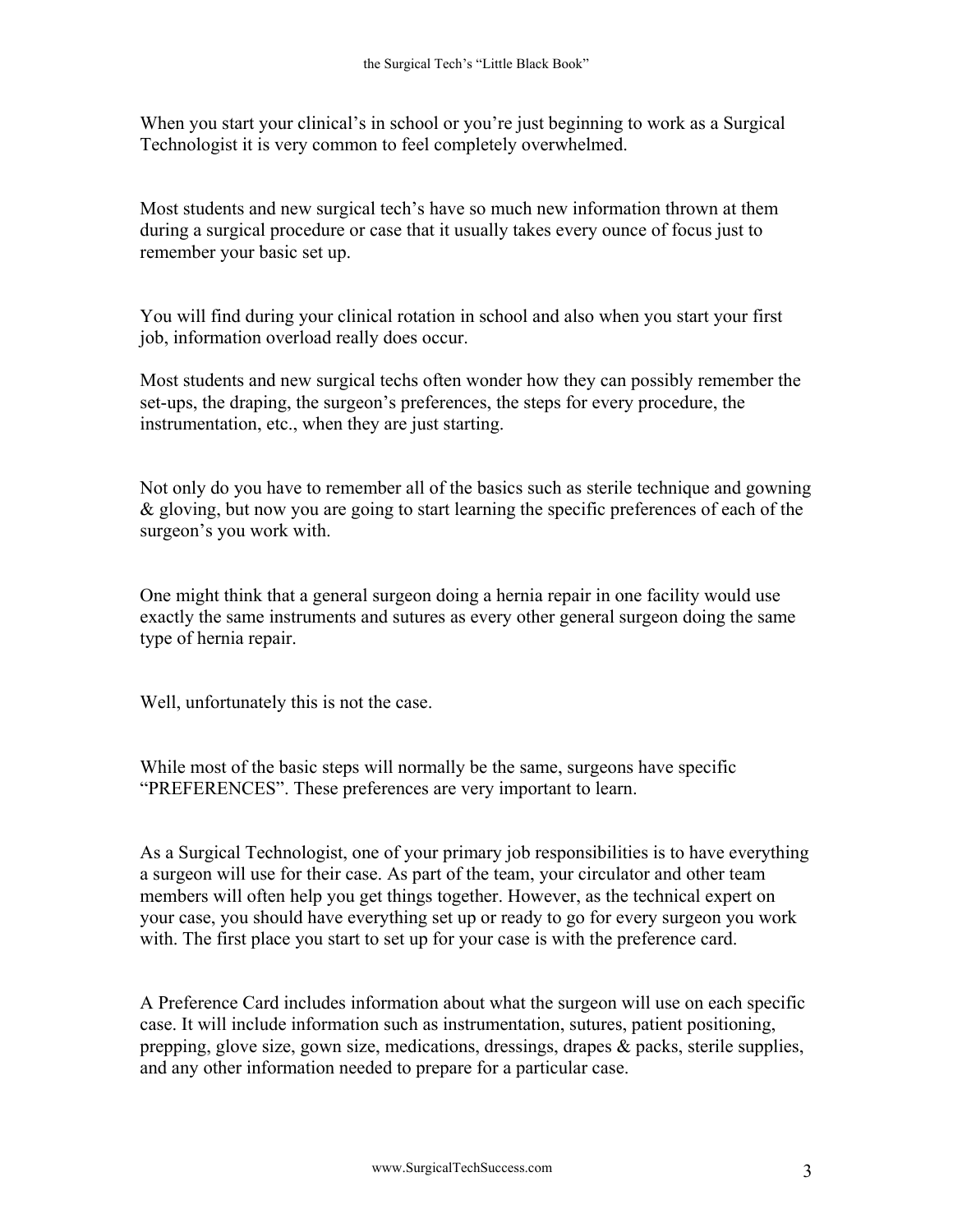When you start your clinical's in school or you're just beginning to work as a Surgical Technologist it is very common to feel completely overwhelmed.

Most students and new surgical tech's have so much new information thrown at them during a surgical procedure or case that it usually takes every ounce of focus just to remember your basic set up.

You will find during your clinical rotation in school and also when you start your first job, information overload really does occur.

Most students and new surgical techs often wonder how they can possibly remember the set-ups, the draping, the surgeon's preferences, the steps for every procedure, the instrumentation, etc., when they are just starting.

Not only do you have to remember all of the basics such as sterile technique and gowning & gloving, but now you are going to start learning the specific preferences of each of the surgeon's you work with.

One might think that a general surgeon doing a hernia repair in one facility would use exactly the same instruments and sutures as every other general surgeon doing the same type of hernia repair.

Well, unfortunately this is not the case.

While most of the basic steps will normally be the same, surgeons have specific "PREFERENCES". These preferences are very important to learn.

As a Surgical Technologist, one of your primary job responsibilities is to have everything a surgeon will use for their case. As part of the team, your circulator and other team members will often help you get things together. However, as the technical expert on your case, you should have everything set up or ready to go for every surgeon you work with. The first place you start to set up for your case is with the preference card.

A Preference Card includes information about what the surgeon will use on each specific case. It will include information such as instrumentation, sutures, patient positioning, prepping, glove size, gown size, medications, dressings, drapes  $\&$  packs, sterile supplies, and any other information needed to prepare for a particular case.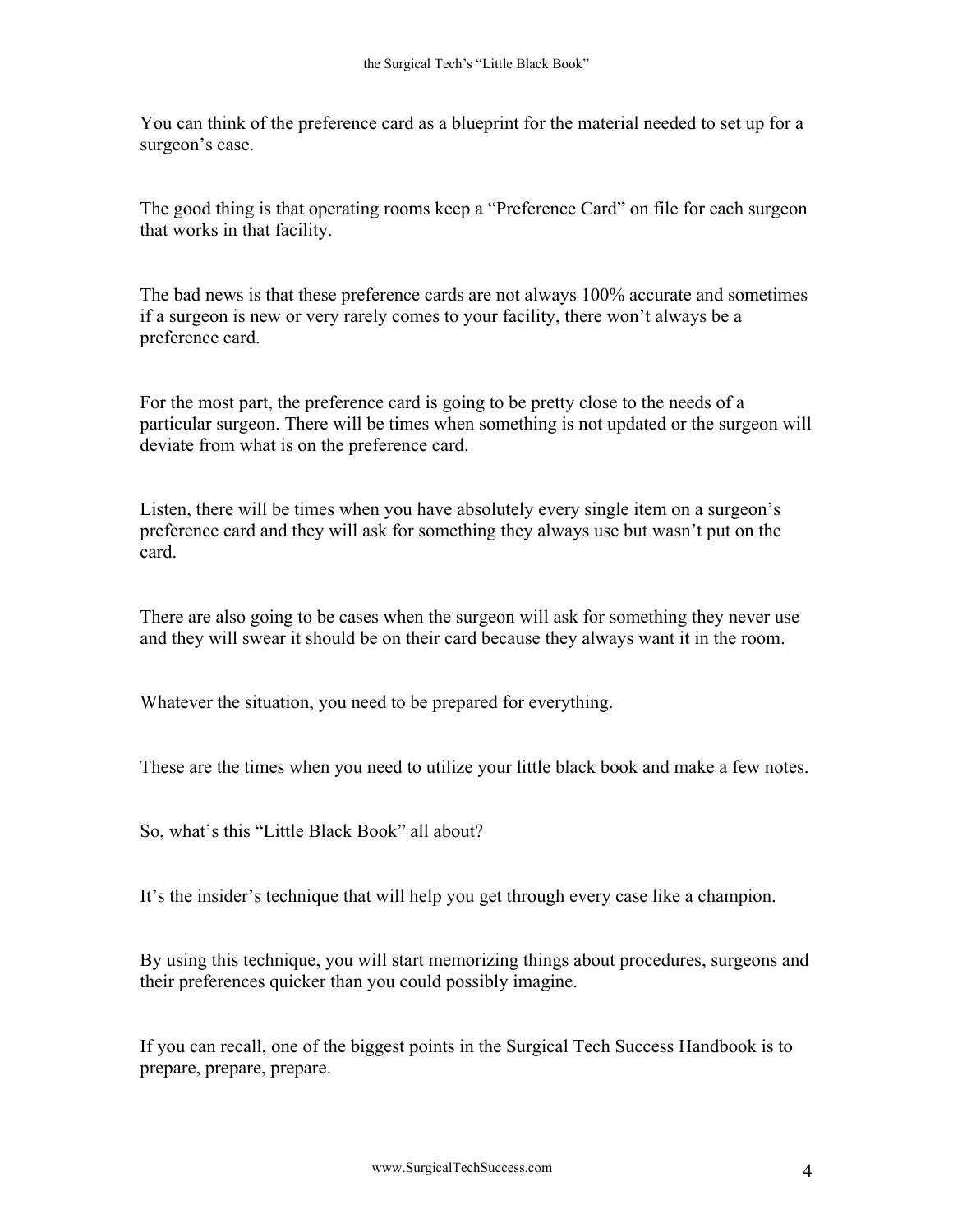You can think of the preference card as a blueprint for the material needed to set up for a surgeon's case.

The good thing is that operating rooms keep a "Preference Card" on file for each surgeon that works in that facility.

The bad news is that these preference cards are not always 100% accurate and sometimes if a surgeon is new or very rarely comes to your facility, there won't always be a preference card.

For the most part, the preference card is going to be pretty close to the needs of a particular surgeon. There will be times when something is not updated or the surgeon will deviate from what is on the preference card.

Listen, there will be times when you have absolutely every single item on a surgeon's preference card and they will ask for something they always use but wasn't put on the card.

There are also going to be cases when the surgeon will ask for something they never use and they will swear it should be on their card because they always want it in the room.

Whatever the situation, you need to be prepared for everything.

These are the times when you need to utilize your little black book and make a few notes.

So, what's this "Little Black Book" all about?

It's the insider's technique that will help you get through every case like a champion.

By using this technique, you will start memorizing things about procedures, surgeons and their preferences quicker than you could possibly imagine.

If you can recall, one of the biggest points in the Surgical Tech Success Handbook is to prepare, prepare, prepare.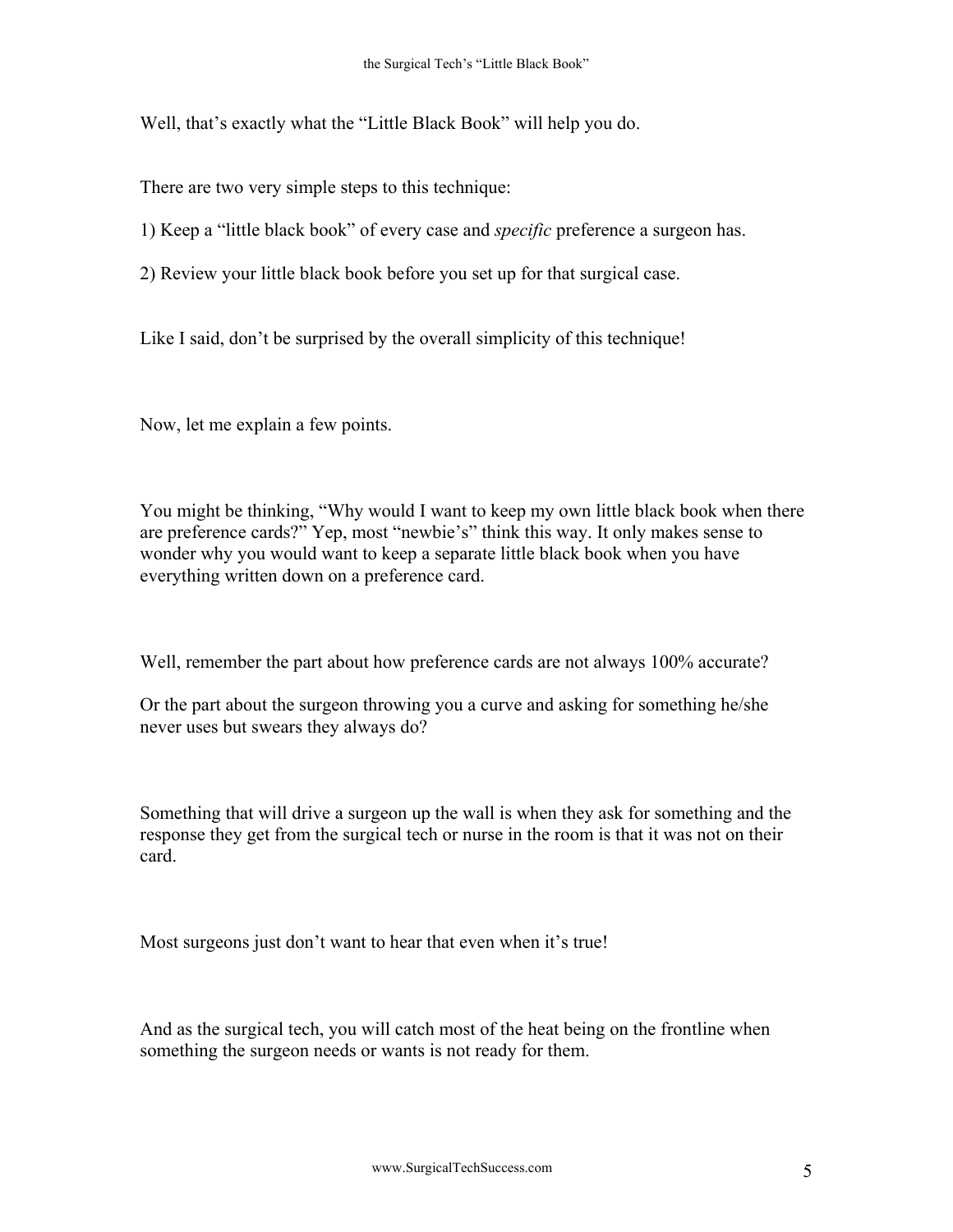Well, that's exactly what the "Little Black Book" will help you do.

There are two very simple steps to this technique:

1) Keep a "little black book" of every case and *specific* preference a surgeon has.

2) Review your little black book before you set up for that surgical case.

Like I said, don't be surprised by the overall simplicity of this technique!

Now, let me explain a few points.

You might be thinking, "Why would I want to keep my own little black book when there are preference cards?" Yep, most "newbie's" think this way. It only makes sense to wonder why you would want to keep a separate little black book when you have everything written down on a preference card.

Well, remember the part about how preference cards are not always 100% accurate?

Or the part about the surgeon throwing you a curve and asking for something he/she never uses but swears they always do?

Something that will drive a surgeon up the wall is when they ask for something and the response they get from the surgical tech or nurse in the room is that it was not on their card.

Most surgeons just don't want to hear that even when it's true!

And as the surgical tech, you will catch most of the heat being on the frontline when something the surgeon needs or wants is not ready for them.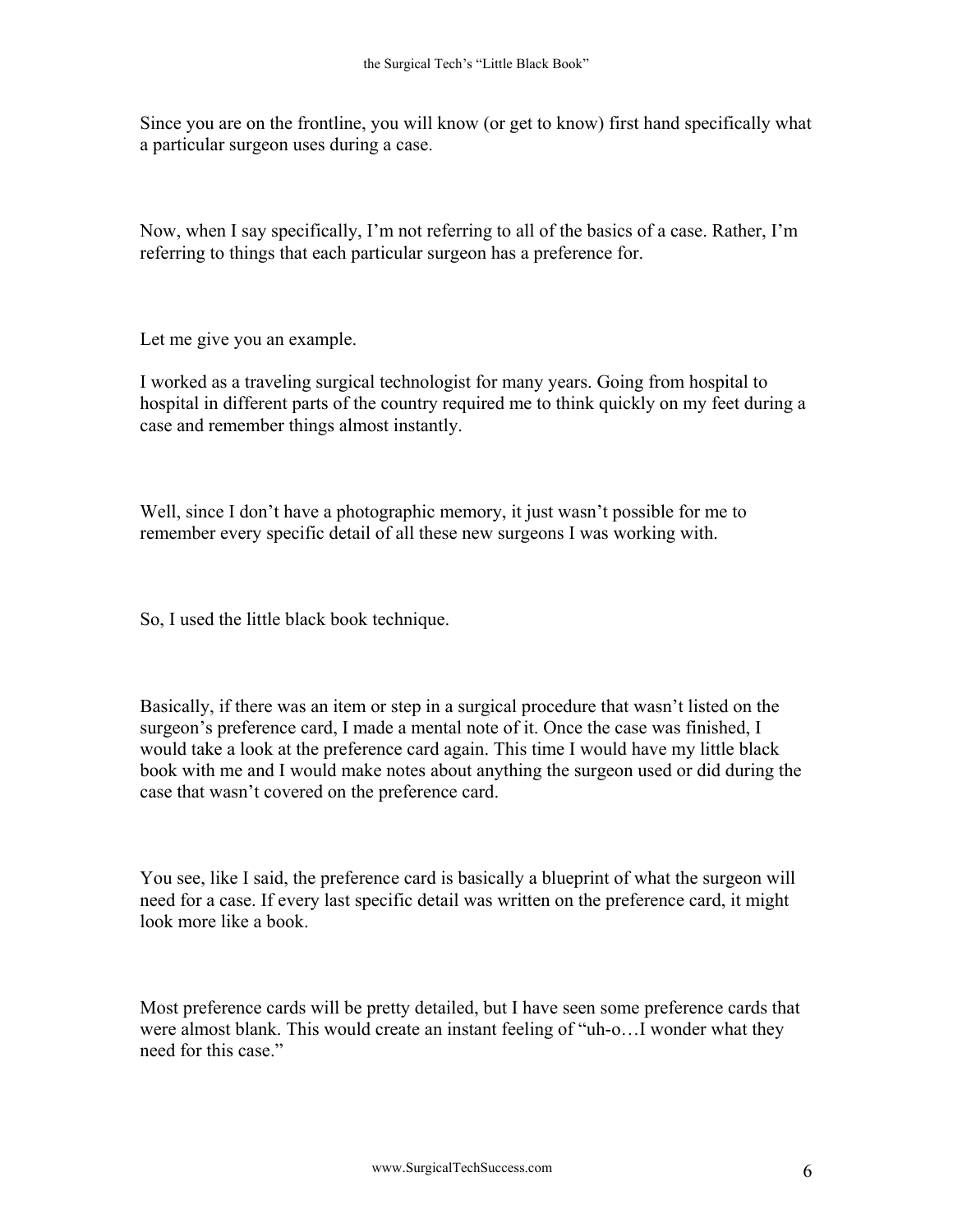Since you are on the frontline, you will know (or get to know) first hand specifically what a particular surgeon uses during a case.

Now, when I say specifically, I'm not referring to all of the basics of a case. Rather, I'm referring to things that each particular surgeon has a preference for.

Let me give you an example.

I worked as a traveling surgical technologist for many years. Going from hospital to hospital in different parts of the country required me to think quickly on my feet during a case and remember things almost instantly.

Well, since I don't have a photographic memory, it just wasn't possible for me to remember every specific detail of all these new surgeons I was working with.

So, I used the little black book technique.

Basically, if there was an item or step in a surgical procedure that wasn't listed on the surgeon's preference card, I made a mental note of it. Once the case was finished, I would take a look at the preference card again. This time I would have my little black book with me and I would make notes about anything the surgeon used or did during the case that wasn't covered on the preference card.

You see, like I said, the preference card is basically a blueprint of what the surgeon will need for a case. If every last specific detail was written on the preference card, it might look more like a book.

Most preference cards will be pretty detailed, but I have seen some preference cards that were almost blank. This would create an instant feeling of "uh-o…I wonder what they need for this case."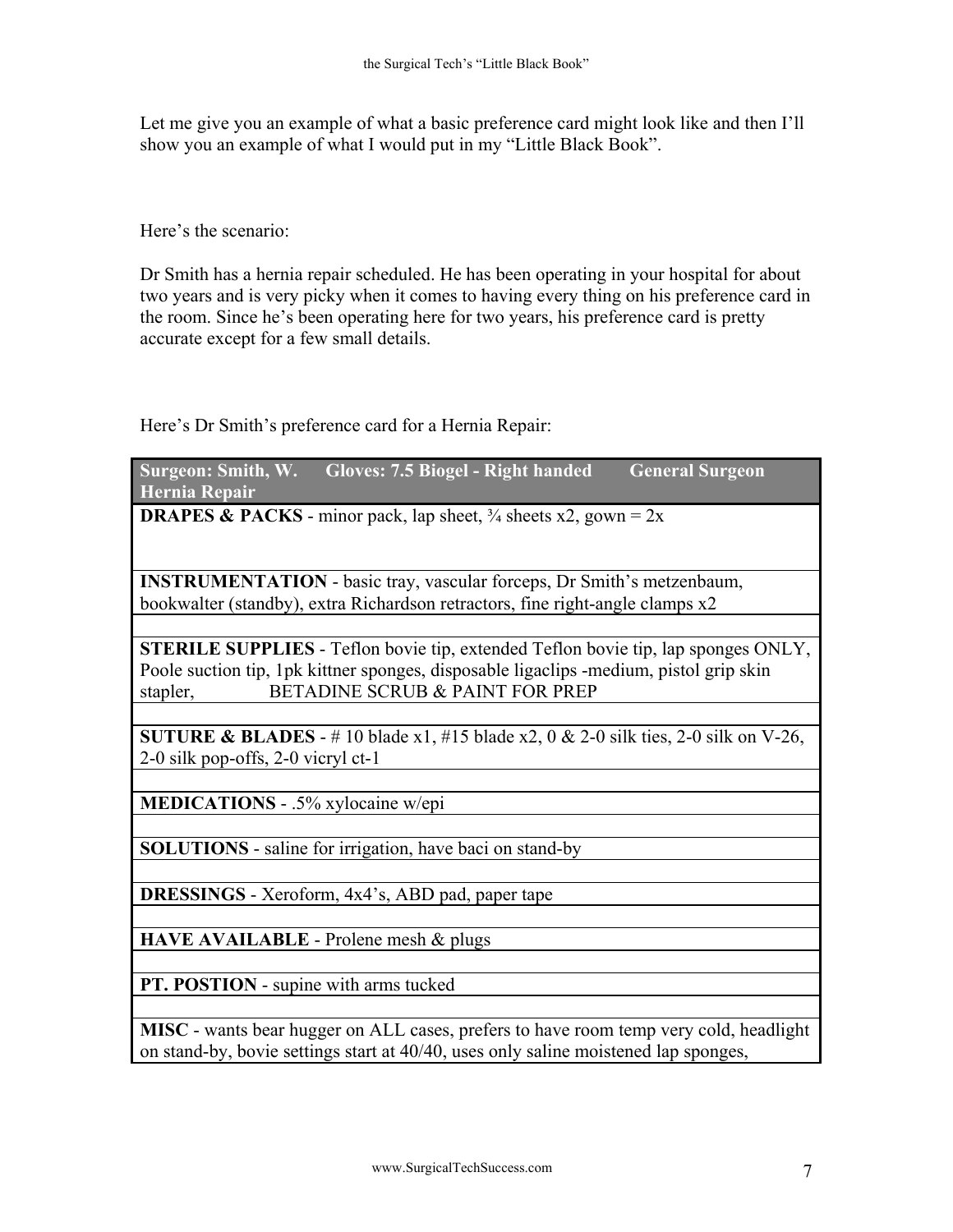Let me give you an example of what a basic preference card might look like and then I'll show you an example of what I would put in my "Little Black Book".

Here's the scenario:

Dr Smith has a hernia repair scheduled. He has been operating in your hospital for about two years and is very picky when it comes to having every thing on his preference card in the room. Since he's been operating here for two years, his preference card is pretty accurate except for a few small details.

Here's Dr Smith's preference card for a Hernia Repair:

| Surgeon: Smith, W.<br>Gloves: 7.5 Biogel - Right handed<br><b>General Surgeon</b><br>Hernia Repair                                                                                                                                |  |  |
|-----------------------------------------------------------------------------------------------------------------------------------------------------------------------------------------------------------------------------------|--|--|
| <b>DRAPES &amp; PACKS</b> - minor pack, lap sheet, $\frac{3}{4}$ sheets x2, gown = 2x                                                                                                                                             |  |  |
| <b>INSTRUMENTATION</b> - basic tray, vascular forceps, Dr Smith's metzenbaum,<br>bookwalter (standby), extra Richardson retractors, fine right-angle clamps x2                                                                    |  |  |
|                                                                                                                                                                                                                                   |  |  |
| <b>STERILE SUPPLIES</b> - Teflon bovie tip, extended Teflon bovie tip, lap sponges ONLY,<br>Poole suction tip, 1pk kittner sponges, disposable ligaclips -medium, pistol grip skin<br>BETADINE SCRUB & PAINT FOR PREP<br>stapler, |  |  |
|                                                                                                                                                                                                                                   |  |  |
| SUTURE & BLADES - #10 blade x1, #15 blade x2, 0 & 2-0 silk ties, 2-0 silk on V-26,<br>2-0 silk pop-offs, 2-0 vicryl ct-1                                                                                                          |  |  |
|                                                                                                                                                                                                                                   |  |  |
| MEDICATIONS - .5% xylocaine w/epi                                                                                                                                                                                                 |  |  |
|                                                                                                                                                                                                                                   |  |  |
| <b>SOLUTIONS</b> - saline for irrigation, have baci on stand-by                                                                                                                                                                   |  |  |
|                                                                                                                                                                                                                                   |  |  |
| <b>DRESSINGS</b> - Xeroform, 4x4's, ABD pad, paper tape                                                                                                                                                                           |  |  |
|                                                                                                                                                                                                                                   |  |  |
| HAVE AVAILABLE - Prolene mesh & plugs                                                                                                                                                                                             |  |  |
|                                                                                                                                                                                                                                   |  |  |
| PT. POSTION - supine with arms tucked                                                                                                                                                                                             |  |  |
|                                                                                                                                                                                                                                   |  |  |
| MISC - wants bear hugger on ALL cases, prefers to have room temp very cold, headlight<br>on stand-by, bovie settings start at 40/40, uses only saline moistened lap sponges,                                                      |  |  |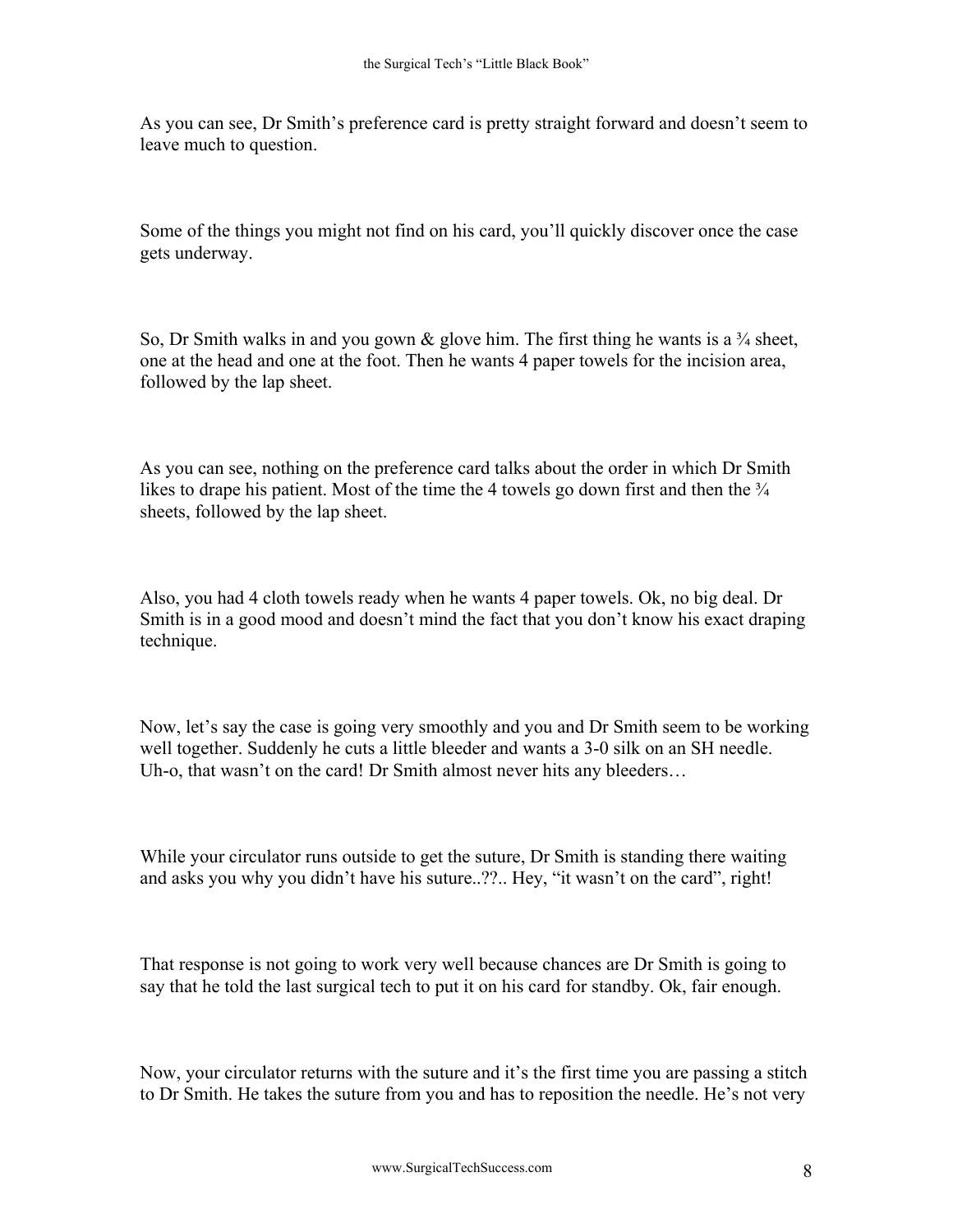As you can see, Dr Smith's preference card is pretty straight forward and doesn't seem to leave much to question.

Some of the things you might not find on his card, you'll quickly discover once the case gets underway.

So, Dr Smith walks in and you gown  $\&$  glove him. The first thing he wants is a  $\frac{3}{4}$  sheet, one at the head and one at the foot. Then he wants 4 paper towels for the incision area, followed by the lap sheet.

As you can see, nothing on the preference card talks about the order in which Dr Smith likes to drape his patient. Most of the time the 4 towels go down first and then the  $\frac{3}{4}$ sheets, followed by the lap sheet.

Also, you had 4 cloth towels ready when he wants 4 paper towels. Ok, no big deal. Dr Smith is in a good mood and doesn't mind the fact that you don't know his exact draping technique.

Now, let's say the case is going very smoothly and you and Dr Smith seem to be working well together. Suddenly he cuts a little bleeder and wants a 3-0 silk on an SH needle. Uh-o, that wasn't on the card! Dr Smith almost never hits any bleeders...

While your circulator runs outside to get the suture, Dr Smith is standing there waiting and asks you why you didn't have his suture..??.. Hey, "it wasn't on the card", right!

That response is not going to work very well because chances are Dr Smith is going to say that he told the last surgical tech to put it on his card for standby. Ok, fair enough.

Now, your circulator returns with the suture and it's the first time you are passing a stitch to Dr Smith. He takes the suture from you and has to reposition the needle. He's not very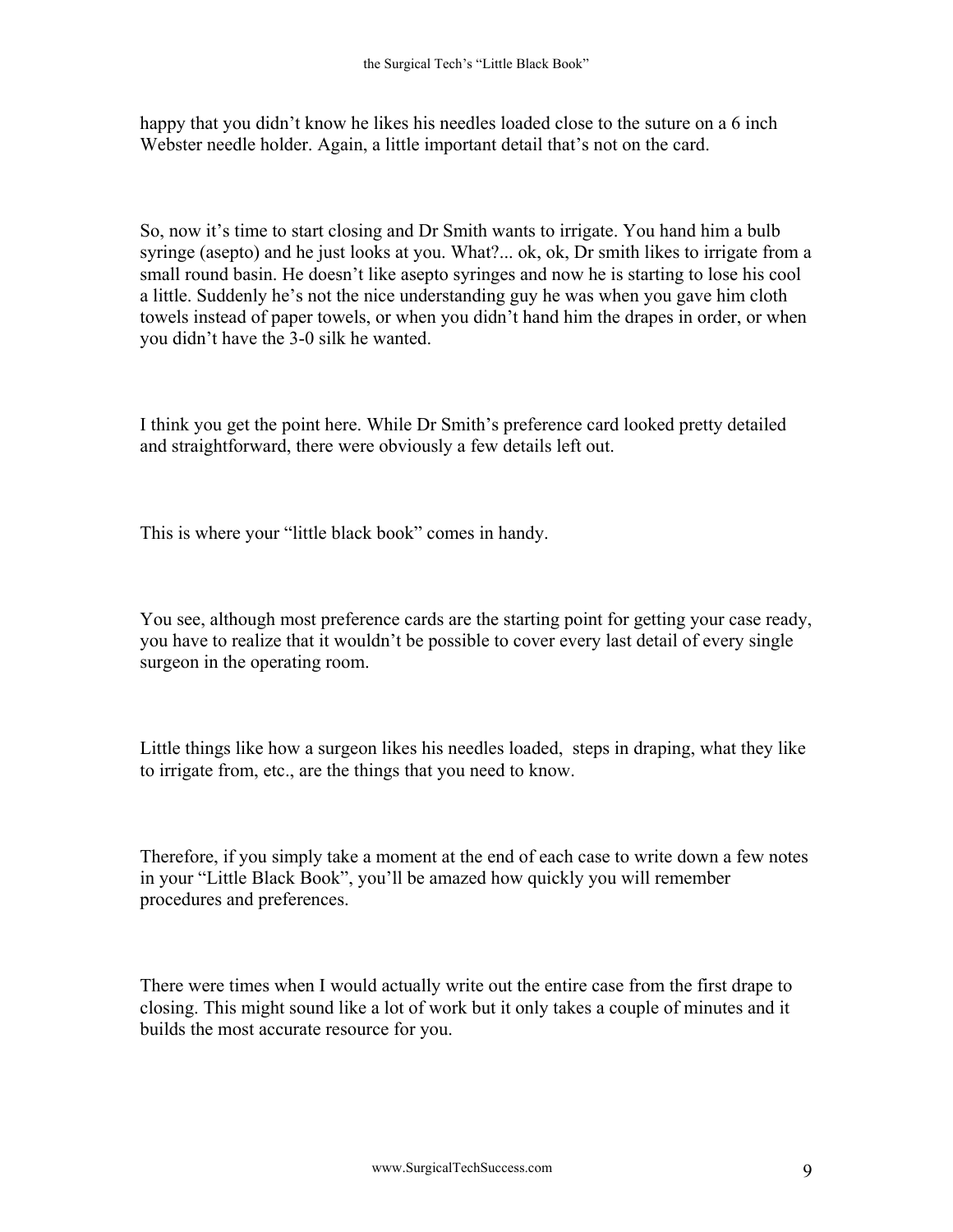happy that you didn't know he likes his needles loaded close to the suture on a 6 inch Webster needle holder. Again, a little important detail that's not on the card.

So, now it's time to start closing and Dr Smith wants to irrigate. You hand him a bulb syringe (asepto) and he just looks at you. What?... ok, ok, Dr smith likes to irrigate from a small round basin. He doesn't like asepto syringes and now he is starting to lose his cool a little. Suddenly he's not the nice understanding guy he was when you gave him cloth towels instead of paper towels, or when you didn't hand him the drapes in order, or when you didn't have the 3-0 silk he wanted.

I think you get the point here. While Dr Smith's preference card looked pretty detailed and straightforward, there were obviously a few details left out.

This is where your "little black book" comes in handy.

You see, although most preference cards are the starting point for getting your case ready, you have to realize that it wouldn't be possible to cover every last detail of every single surgeon in the operating room.

Little things like how a surgeon likes his needles loaded, steps in draping, what they like to irrigate from, etc., are the things that you need to know.

Therefore, if you simply take a moment at the end of each case to write down a few notes in your "Little Black Book", you'll be amazed how quickly you will remember procedures and preferences.

There were times when I would actually write out the entire case from the first drape to closing. This might sound like a lot of work but it only takes a couple of minutes and it builds the most accurate resource for you.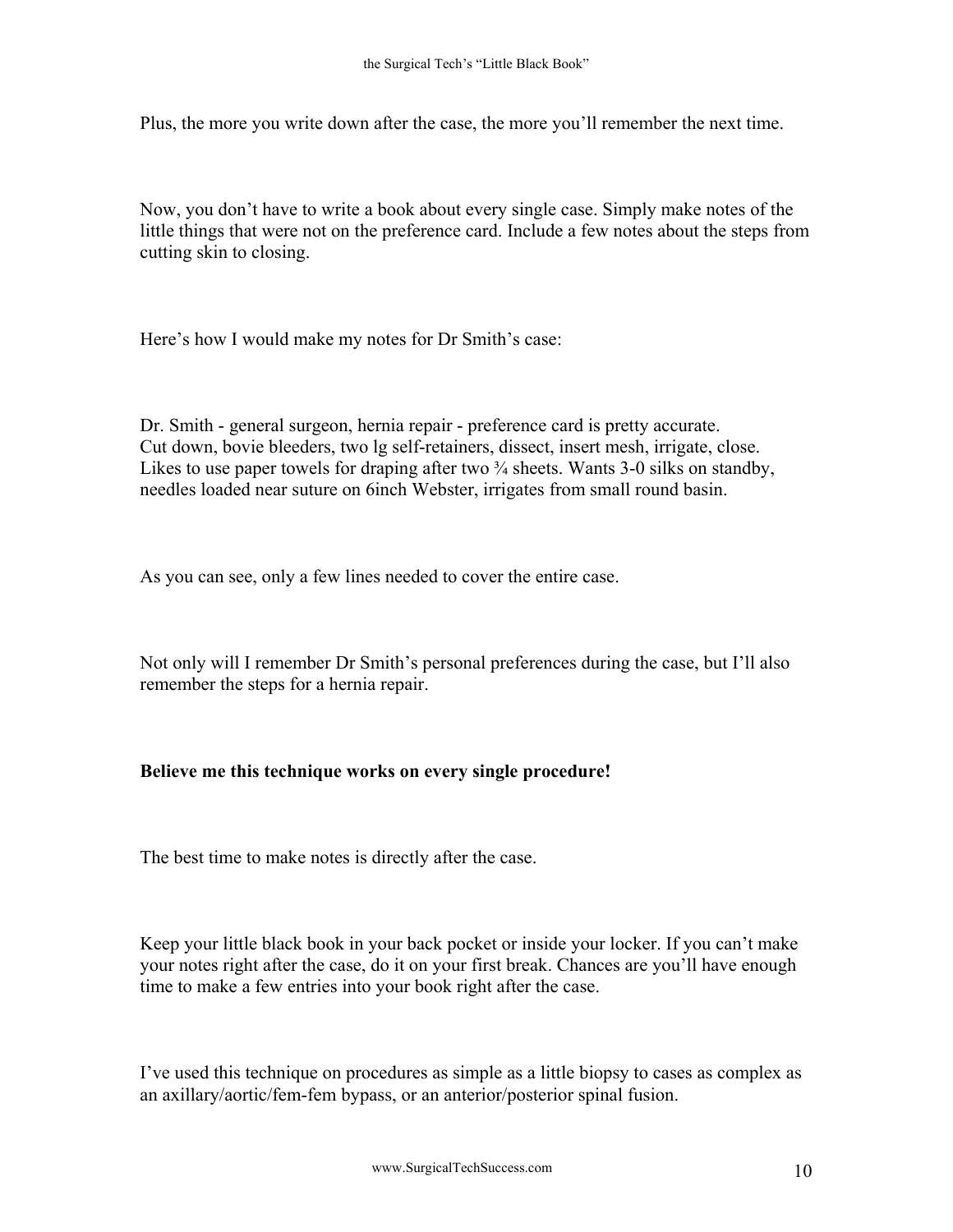Plus, the more you write down after the case, the more you'll remember the next time.

Now, you don't have to write a book about every single case. Simply make notes of the little things that were not on the preference card. Include a few notes about the steps from cutting skin to closing.

Here's how I would make my notes for Dr Smith's case:

Dr. Smith - general surgeon, hernia repair - preference card is pretty accurate. Cut down, bovie bleeders, two lg self-retainers, dissect, insert mesh, irrigate, close. Likes to use paper towels for draping after two  $\frac{3}{4}$  sheets. Wants 3-0 silks on standby, needles loaded near suture on 6inch Webster, irrigates from small round basin.

As you can see, only a few lines needed to cover the entire case.

Not only will I remember Dr Smith's personal preferences during the case, but I'll also remember the steps for a hernia repair.

## **Believe me this technique works on every single procedure!**

The best time to make notes is directly after the case.

Keep your little black book in your back pocket or inside your locker. If you can't make your notes right after the case, do it on your first break. Chances are you'll have enough time to make a few entries into your book right after the case.

I've used this technique on procedures as simple as a little biopsy to cases as complex as an axillary/aortic/fem-fem bypass, or an anterior/posterior spinal fusion.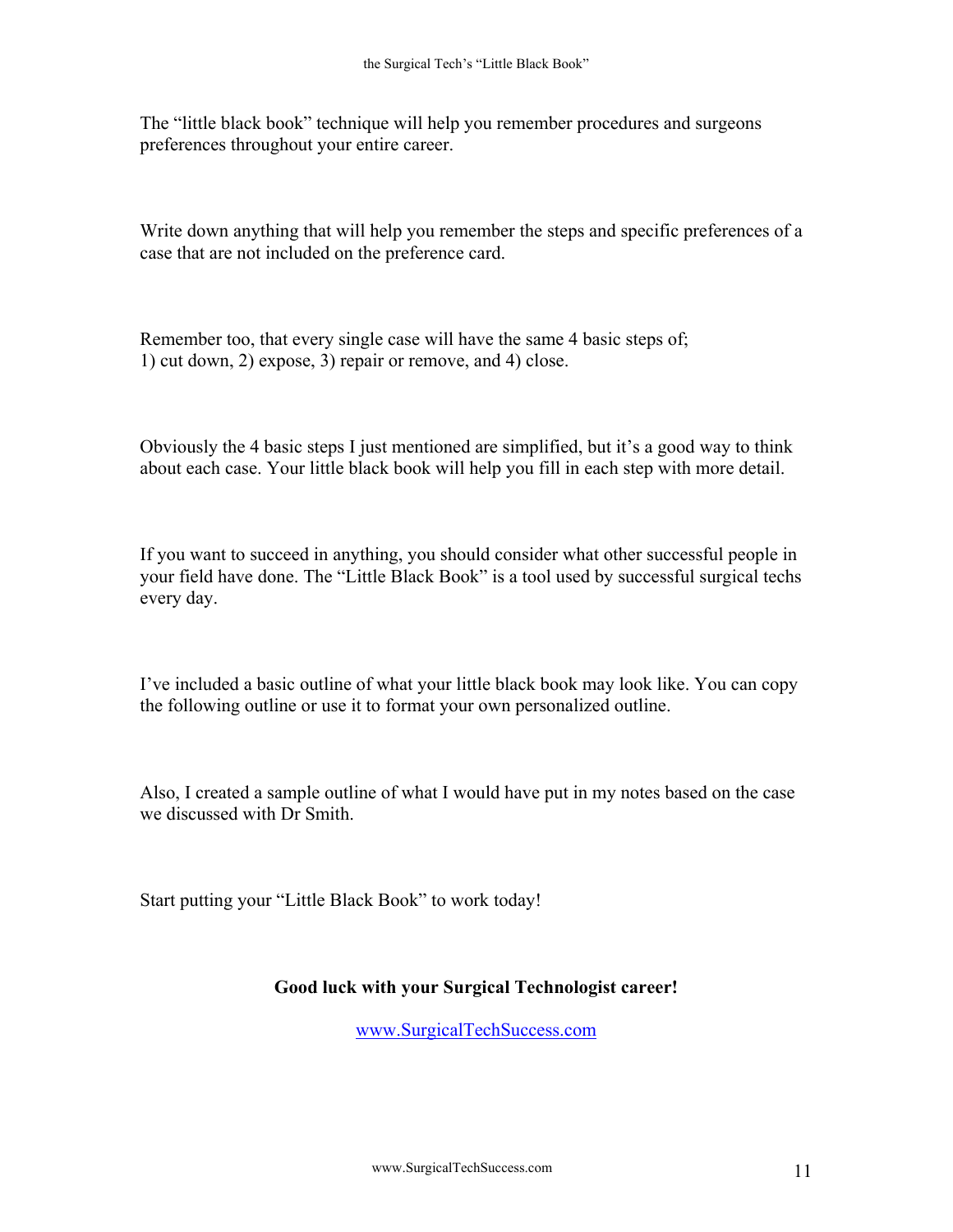The "little black book" technique will help you remember procedures and surgeons preferences throughout your entire career.

Write down anything that will help you remember the steps and specific preferences of a case that are not included on the preference card.

Remember too, that every single case will have the same 4 basic steps of; 1) cut down, 2) expose, 3) repair or remove, and 4) close.

Obviously the 4 basic steps I just mentioned are simplified, but it's a good way to think about each case. Your little black book will help you fill in each step with more detail.

If you want to succeed in anything, you should consider what other successful people in your field have done. The "Little Black Book" is a tool used by successful surgical techs every day.

I've included a basic outline of what your little black book may look like. You can copy the following outline or use it to format your own personalized outline.

Also, I created a sample outline of what I would have put in my notes based on the case we discussed with Dr Smith.

Start putting your "Little Black Book" to work today!

## **Good luck with your Surgical Technologist career!**

[www.SurgicalTechSuccess.com](http://www.surgicaltechsuccess.com/)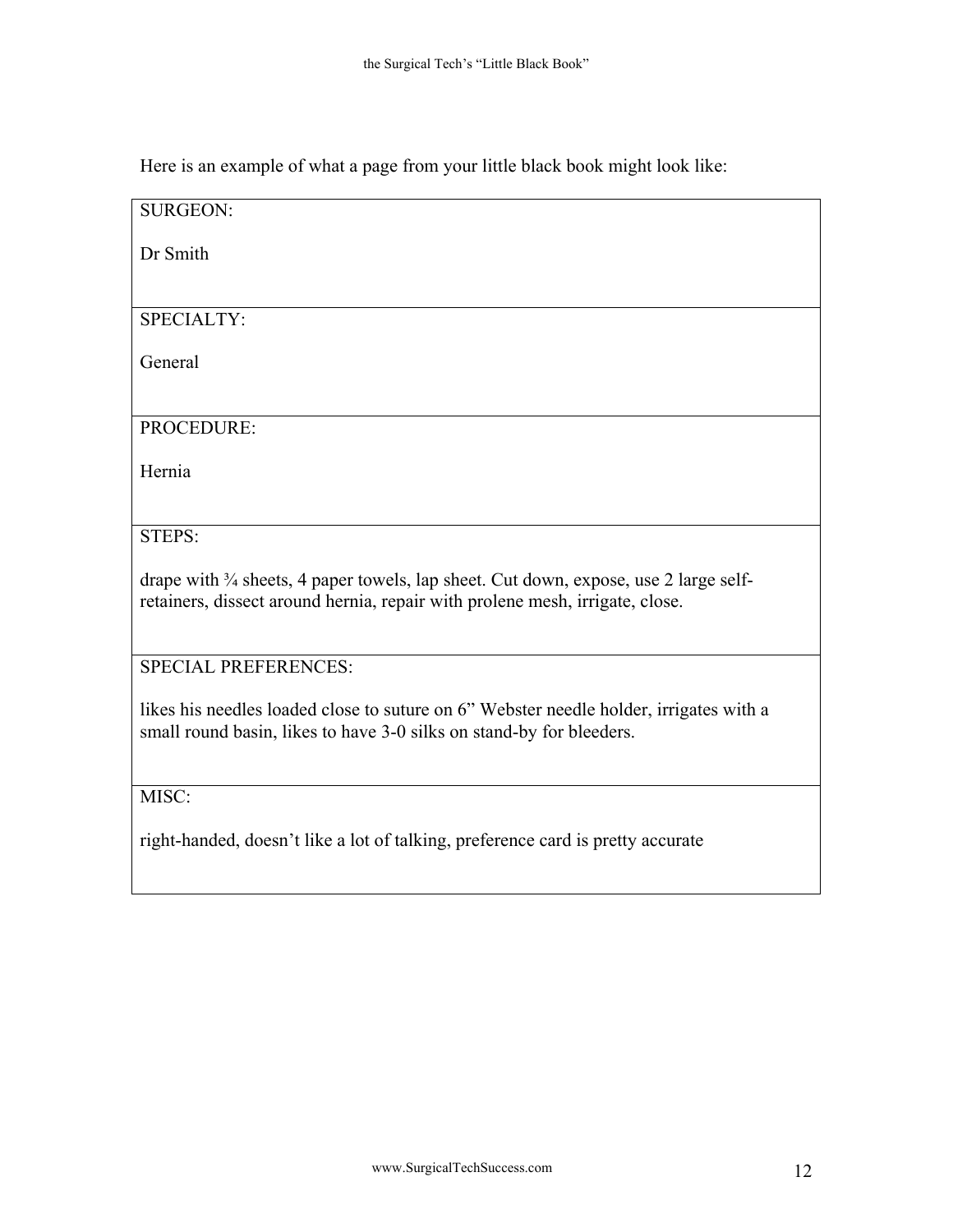Here is an example of what a page from your little black book might look like:

SURGEON: Dr Smith SPECIALTY: General PROCEDURE: Hernia STEPS: drape with <sup>3</sup>/<sub>4</sub> sheets, 4 paper towels, lap sheet. Cut down, expose, use 2 large selfretainers, dissect around hernia, repair with prolene mesh, irrigate, close. SPECIAL PREFERENCES: likes his needles loaded close to suture on 6" Webster needle holder, irrigates with a small round basin, likes to have 3-0 silks on stand-by for bleeders. MISC: right-handed, doesn't like a lot of talking, preference card is pretty accurate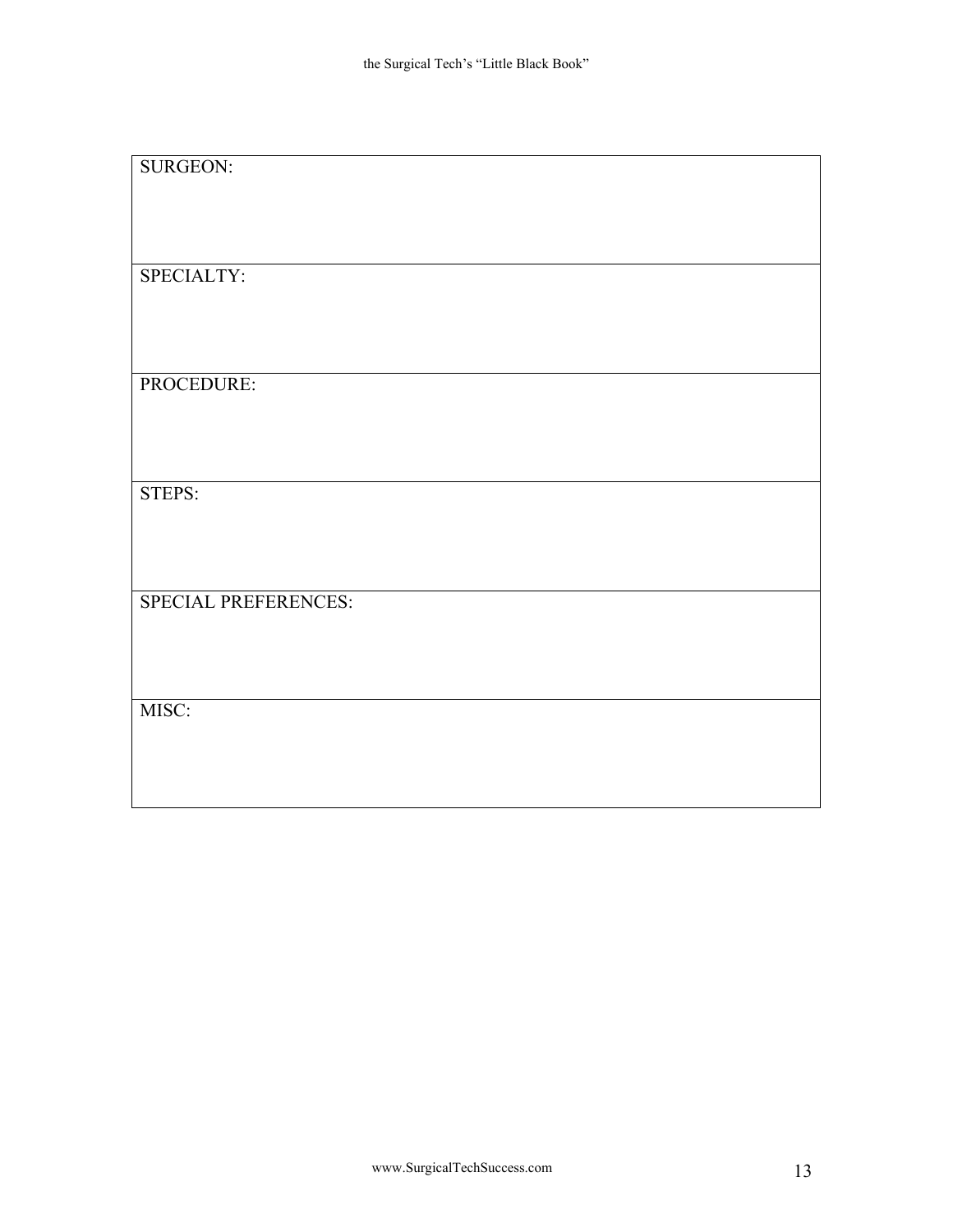| <b>SURGEON:</b>      |
|----------------------|
|                      |
|                      |
|                      |
|                      |
|                      |
|                      |
| SPECIALTY:           |
|                      |
|                      |
|                      |
|                      |
|                      |
|                      |
|                      |
| PROCEDURE:           |
|                      |
|                      |
|                      |
|                      |
|                      |
|                      |
| STEPS:               |
|                      |
|                      |
|                      |
|                      |
|                      |
|                      |
|                      |
| SPECIAL PREFERENCES: |
|                      |
|                      |
|                      |
|                      |
|                      |
|                      |
| MISC:                |
|                      |
|                      |
|                      |
|                      |
|                      |
|                      |
|                      |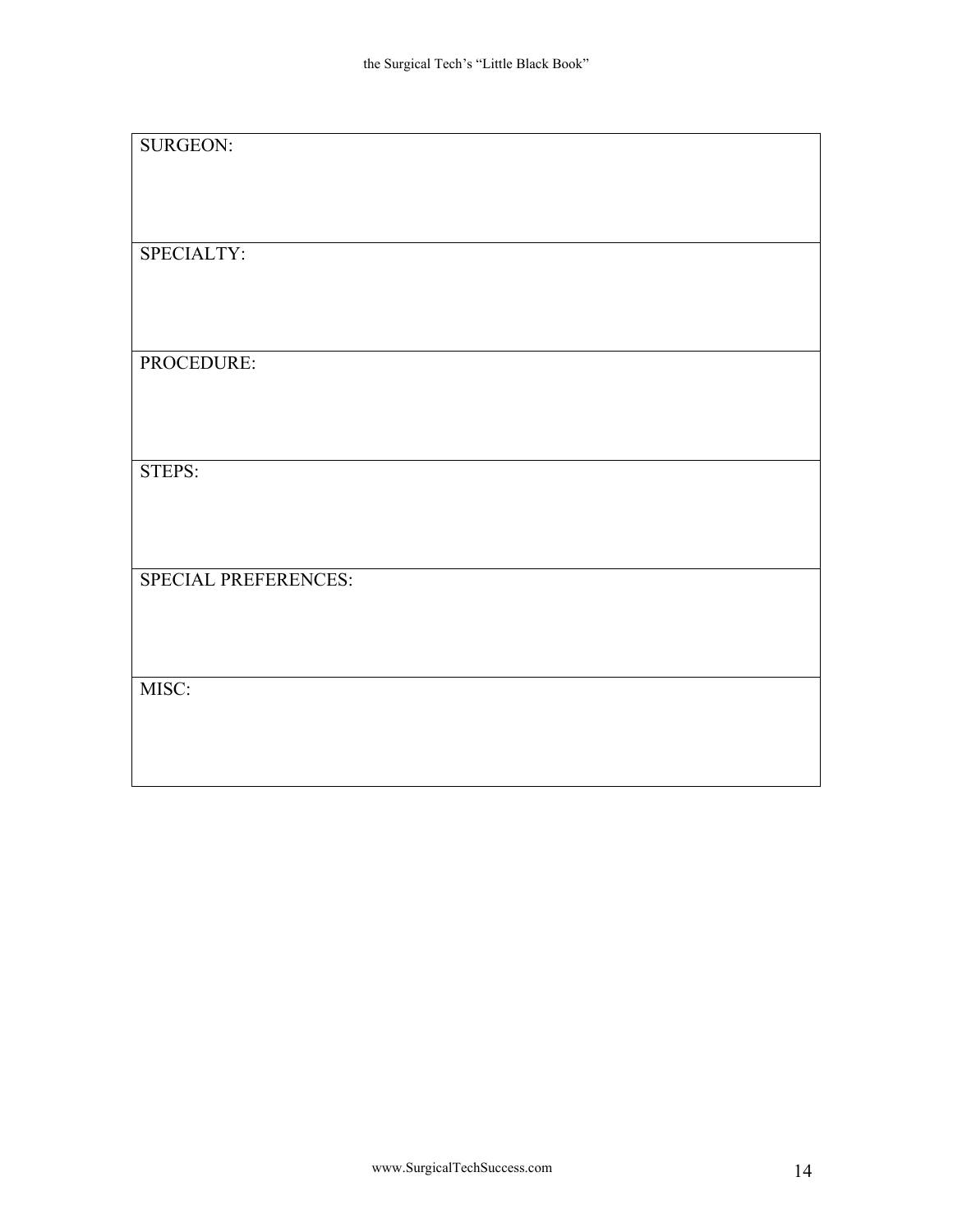| <b>SURGEON:</b>      |  |
|----------------------|--|
|                      |  |
|                      |  |
|                      |  |
|                      |  |
|                      |  |
|                      |  |
|                      |  |
| SPECIALTY:           |  |
|                      |  |
|                      |  |
|                      |  |
|                      |  |
|                      |  |
|                      |  |
|                      |  |
|                      |  |
| PROCEDURE:           |  |
|                      |  |
|                      |  |
|                      |  |
|                      |  |
|                      |  |
|                      |  |
|                      |  |
| STEPS:               |  |
|                      |  |
|                      |  |
|                      |  |
|                      |  |
|                      |  |
|                      |  |
|                      |  |
|                      |  |
| SPECIAL PREFERENCES: |  |
|                      |  |
|                      |  |
|                      |  |
|                      |  |
|                      |  |
|                      |  |
|                      |  |
| MISC:                |  |
|                      |  |
|                      |  |
|                      |  |
|                      |  |
|                      |  |
|                      |  |
|                      |  |
|                      |  |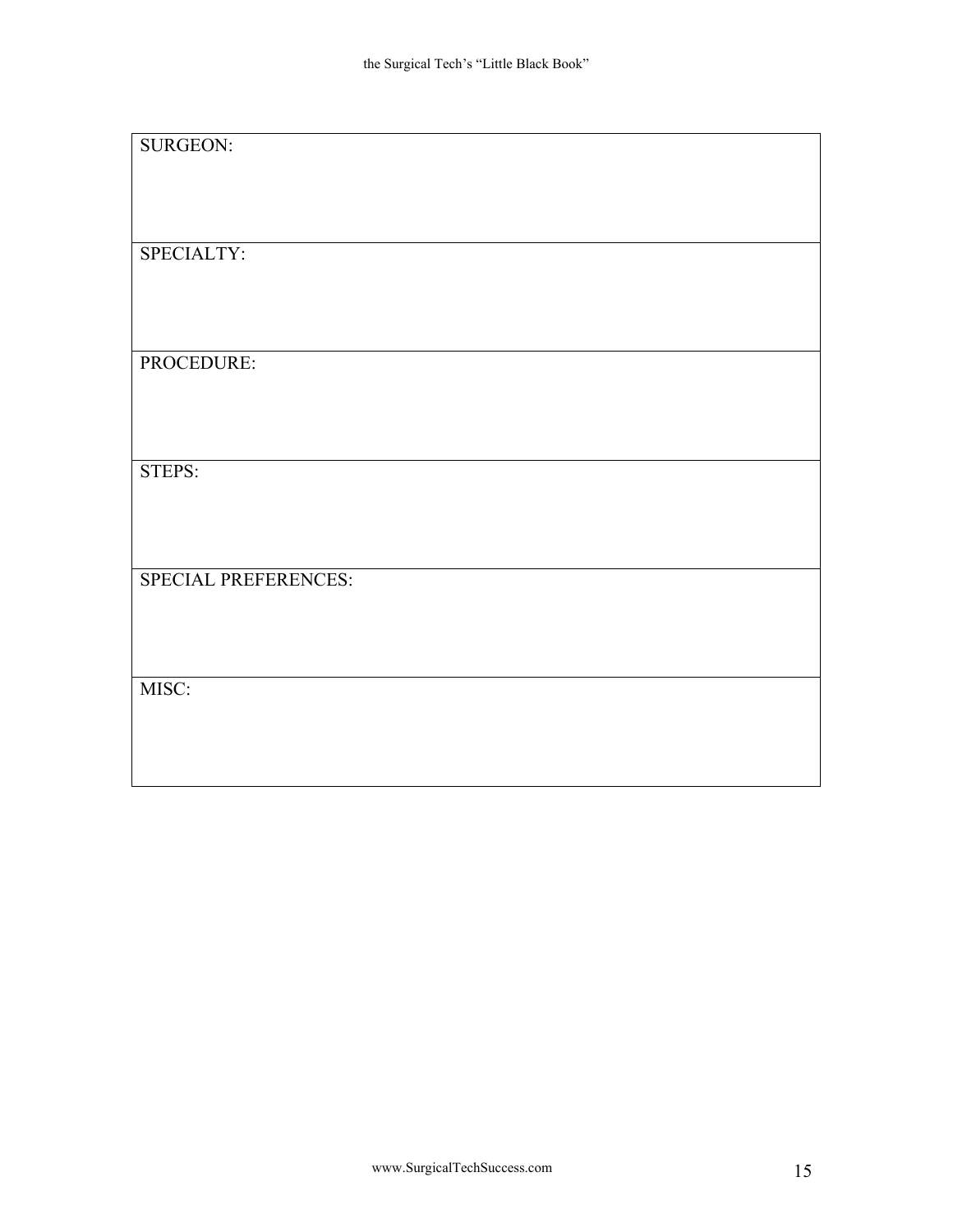| <b>SURGEON:</b>      |  |
|----------------------|--|
|                      |  |
|                      |  |
|                      |  |
|                      |  |
|                      |  |
|                      |  |
|                      |  |
| SPECIALTY:           |  |
|                      |  |
|                      |  |
|                      |  |
|                      |  |
|                      |  |
|                      |  |
|                      |  |
|                      |  |
| PROCEDURE:           |  |
|                      |  |
|                      |  |
|                      |  |
|                      |  |
|                      |  |
|                      |  |
|                      |  |
| STEPS:               |  |
|                      |  |
|                      |  |
|                      |  |
|                      |  |
|                      |  |
|                      |  |
|                      |  |
|                      |  |
| SPECIAL PREFERENCES: |  |
|                      |  |
|                      |  |
|                      |  |
|                      |  |
|                      |  |
|                      |  |
|                      |  |
| MISC:                |  |
|                      |  |
|                      |  |
|                      |  |
|                      |  |
|                      |  |
|                      |  |
|                      |  |
|                      |  |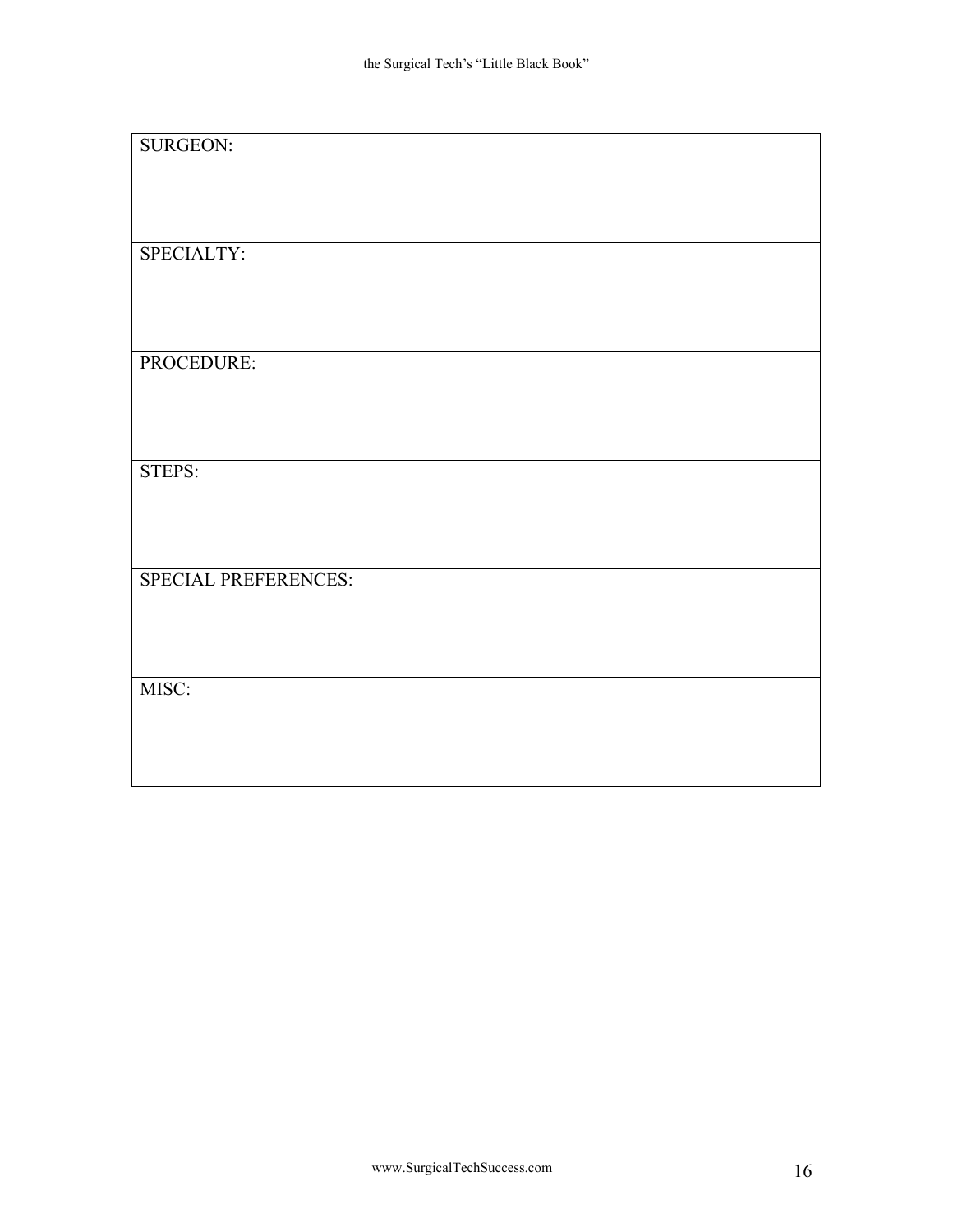| <b>SURGEON:</b>      |  |
|----------------------|--|
|                      |  |
|                      |  |
|                      |  |
|                      |  |
|                      |  |
|                      |  |
|                      |  |
| SPECIALTY:           |  |
|                      |  |
|                      |  |
|                      |  |
|                      |  |
|                      |  |
|                      |  |
|                      |  |
|                      |  |
| PROCEDURE:           |  |
|                      |  |
|                      |  |
|                      |  |
|                      |  |
|                      |  |
|                      |  |
|                      |  |
| STEPS:               |  |
|                      |  |
|                      |  |
|                      |  |
|                      |  |
|                      |  |
|                      |  |
|                      |  |
|                      |  |
| SPECIAL PREFERENCES: |  |
|                      |  |
|                      |  |
|                      |  |
|                      |  |
|                      |  |
|                      |  |
|                      |  |
| MISC:                |  |
|                      |  |
|                      |  |
|                      |  |
|                      |  |
|                      |  |
|                      |  |
|                      |  |
|                      |  |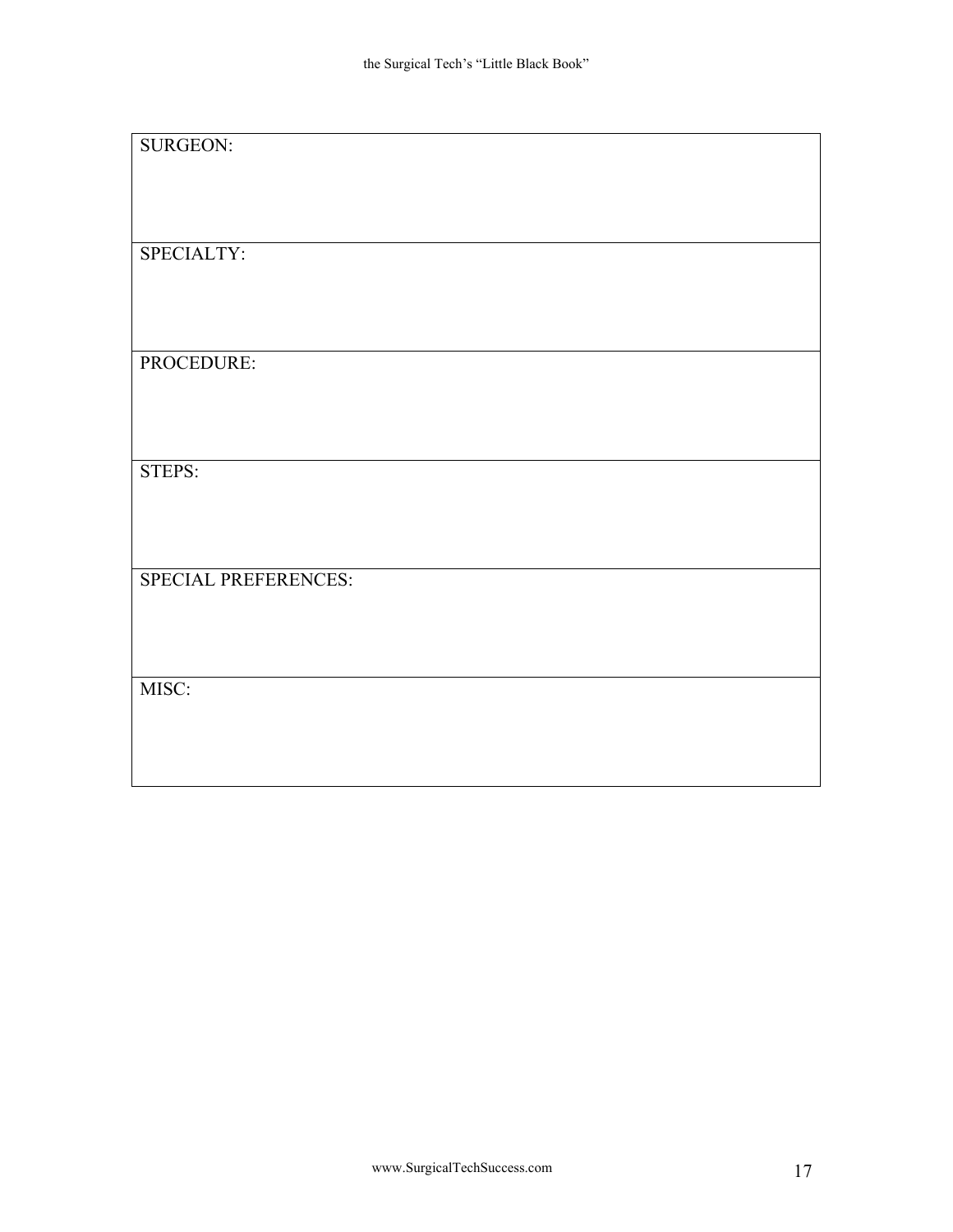| <b>SURGEON:</b>      |  |
|----------------------|--|
|                      |  |
|                      |  |
|                      |  |
|                      |  |
|                      |  |
|                      |  |
|                      |  |
| SPECIALTY:           |  |
|                      |  |
|                      |  |
|                      |  |
|                      |  |
|                      |  |
|                      |  |
|                      |  |
|                      |  |
| PROCEDURE:           |  |
|                      |  |
|                      |  |
|                      |  |
|                      |  |
|                      |  |
|                      |  |
|                      |  |
| STEPS:               |  |
|                      |  |
|                      |  |
|                      |  |
|                      |  |
|                      |  |
|                      |  |
|                      |  |
|                      |  |
| SPECIAL PREFERENCES: |  |
|                      |  |
|                      |  |
|                      |  |
|                      |  |
|                      |  |
|                      |  |
|                      |  |
| MISC:                |  |
|                      |  |
|                      |  |
|                      |  |
|                      |  |
|                      |  |
|                      |  |
|                      |  |
|                      |  |